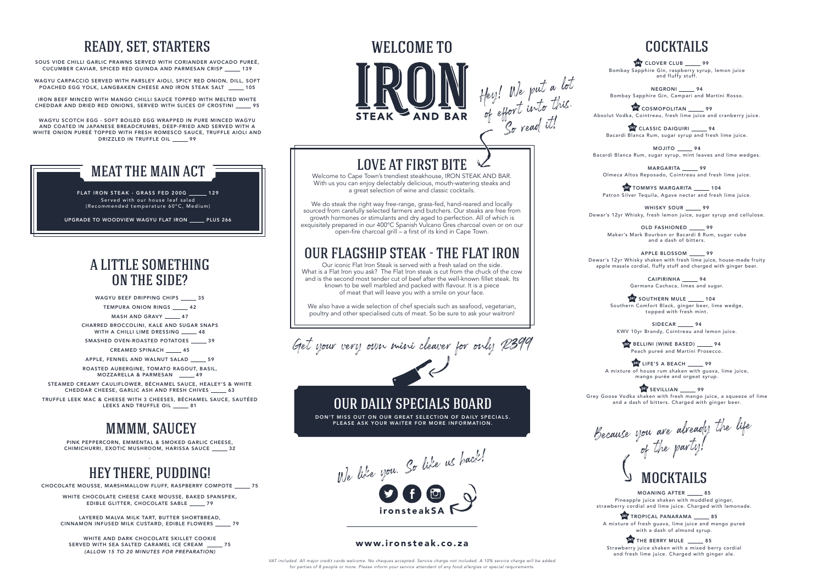# MOCKTAILS

MOANING AFTER 85 Pineapple juice shaken with muddled ginger, strawberry cordial and lime juice. Charged with lemonade.

**TROPICAL PANARAMA** \_\_\_\_\_ 85 A mixture of fresh guava, lime juice and mango pureé with a dash of almond syrup.

THE BERRY MULE \_\_\_\_\_\_ 85 Strawberry juice shaken with a mixed berry cordial and fresh lime juice. Charged with ginger ale.

Because you are already the life of the party!

# LOVE AT FIRST BITE

Welcome to Cape Town's trendiest steakhouse, IRON STEAK AND BAR. With us you can enjoy delectably delicious, mouth-watering steaks and a great selection of wine and classic cocktails.

We do steak the right way free-range, grass-fed, hand-reared and locally sourced from carefully selected farmers and butchers. Our steaks are free from growth hormones or stimulants and dry aged to perfection. All of which is exquisitely prepared in our 400°C Spanish Vulcano Gres charcoal oven or on our  $\overline{a}$  open-fire charcoal grill  $\overline{a}$  a first of its kind in Cape Town.

DON'T MISS OUT ON OUR GREAT SELECTION OF DAILY SPECIALS. PLEASE ASK YOUR WAITER FOR MORE INFORMATION.

# OUR FLAGSHIP STEAK - THE FLAT IRON

WAGYU CARPACCIO SERVED WITH PARSLEY AIOLI, SPICY RED ONION, DILL, SOFT POACHED EGG YOLK, LANGBAKEN CHEESE AND IRON STEAK SALT \_\_\_\_\_ 105

> Our iconic Flat Iron Steak is served with a fresh salad on the side. What is a Flat Iron you ask? The Flat Iron steak is cut from the chuck of the cow and is the second most tender cut of beef after the well-known fillet steak. Its known to be well marbled and packed with flavour. It is a piece of meat that will leave you with a smile on your face.

WAGYU SCOTCH EGG - SOFT BOILED EGG WRAPPED IN PURE MINCED WAGYU AND COATED IN JAPANESE BREADCRUMBS, DEEP-FRIED AND SERVED WITH A WHITE ONION PUREÉ TOPPED WITH FRESH ROMESCO SAUCE, TRUFFLE AIOLI AND DRIZZLED IN TRUFFLE OIL \_\_\_\_\_\_ 99

> FLAT IRON STEAK - GRASS FED 200G 129 Served with our house leaf salad (Recommended temperature 60°C, Medium)

> > We also have a wide selection of chef specials such as seafood, vegetarian, poultry and other specialised cuts of meat. So be sure to ask your waitron!

CHARRED BROCCOLINI, KALE AND SUGAR SNAPS WITH A CHILLI LIME DRESSING \_\_\_\_\_ 48

SMASHED OVEN-ROASTED POTATOES 39

STEAMED CREAMY CAULIFLOWER, BÉCHAMEL SAUCE, HEALEY'S & WHITE CHEDDAR CHEESE, GARLIC ASH AND FRESH CHIVES \_\_\_\_\_ 63

Get your very own mini cleaver for only R399

WELCOME TO

TRUFFLE LEEK MAC & CHEESE WITH 3 CHEESES, BÉCHAMEL SAUCE, SAUTÉED LEEKS AND TRUFFLE OIL \_\_\_\_\_\_\_ 81

We like you, So like us back! ironsteakSA

PINK PEPPERCORN, EMMENTAL & SMOKED GARLIC CHEESE, CHIMICHURRI, EXOTIC MUSHROOM, HARISSA SAUCE \_\_\_\_\_ 32

# OUR DAILY SPECIALS BOARD

### www.ironsteak.co.za

LAYERED MALVA MILK TART, BUTTER SHORTBREAD, CINNAMON INFUSED MILK CUSTARD, EDIBLE FLOWERS 29

> *VAT included. All major credit cards welcome. No cheques accepted. Service charge not included. A 10% service charge will be added for parties of 8 people or more. Please inform your service attendant of any food allergies or special requirements.*

**247** CLOVER CLUB \_\_\_\_\_ 99 Bombay Sapphire Gin, raspberry syrup, lemon juice and fluffy stuff.

NEGRONI \_\_\_\_\_\_ 94 Bombay Sapphire Gin, Campari and Martini Rosso.

**24 COSMOPOLITAN** 99 Absolut Vodka, Cointreau, fresh lime juice and cranberry juice.

Hey! We put a lot

ery. external this.

 $\mathcal{S}_{\sigma}$  read it!

# READY, SET, STARTERS

247 CLASSIC DAIQUIRI \_\_\_\_\_ 94 Bacardi Blanca Rum, sugar syrup and fresh lime juice.

MOJITO \_\_\_\_\_\_ 94 Bacardi Blanca Rum, sugar syrup, mint leaves and lime wedges.

SOUS VIDE CHILLI GARLIC PRAWNS SERVED WITH CORIANDER AVOCADO PUREÉ, CUCUMBER CAVIAR, SPICED RED QUINOA AND PARMESAN CRISP 139

> MARGARITA \_\_\_\_\_ 99 Olmeca Altos Reposado, Cointreau and fresh lime juice.

> **P47 TOMMYS MARGARITA** 104 Patron Silver Tequila, Agave nectar and fresh lime juice.

WHISKY SOUR 99 Dewar's 12yr Whisky, fresh lemon juice, sugar syrup and cellulose.

APPLE BLOSSOM \_\_\_\_\_\_ 99 Dewar's 12yr Whisky shaken with fresh lime juice, house-made fruity apple masala cordial, fluffy stuff and charged with ginger beer.

> CAIPIRINHA \_\_\_\_\_\_ 94 Germana Cachaca, limes and sugar.

IRON BEEF MINCED WITH MANGO CHILLI SAUCE TOPPED WITH MELTED WHITE CHEDDAR AND DRIED RED ONIONS, SERVED WITH SLICES OF CROSTINI 95

> **247 SOUTHERN MULE** 104 Southern Comfort Black, ginger beer, lime wedge, topped with fresh mint.

SIDECAR \_\_\_\_\_ 94 KWV 10yr Brandy, Cointreau and lemon juice.

241 BELLINI (WINE BASED) \_\_\_\_\_\_\_ 94 Peach pureé and Martini Prosecco.

**PAT LIFE'S A BEACH** 99 A mixture of house rum shaken with guava, lime juice, mango purée and orgeat syrup.

**247 SEVILLIAN** \_\_\_\_\_\_ 99 Grey Goose Vodka shaken with fresh mango juice, a squeeze of lime and a dash of bitters. Charged with ginger beer.

# MEAT THE MAIN ACT

UPGRADE TO WOODVIEW WAGYU FLAT IRON PLUS 266

## A LITTLE SOMETHING ON THE SIDE?

WAGYU BEEF DRIPPING CHIPS \_\_\_\_\_\_ 35 TEMPURA ONION RINGS \_\_\_\_\_ 42

MASH AND GRAVY 47

CREAMED SPINACH 45

APPLE, FENNEL AND WALNUT SALAD \_\_\_\_\_\_ 59 ROASTED AUBERGINE, TOMATO RAGOUT, BASIL, MOZZARELLA & PARMESAN 49

# MMMM, SAUCEY

### ` HEY THERE, PUDDING!

CHOCOLATE MOUSSE, MARSHMALLOW FLUFF, RASPBERRY COMPOTE 75

WHITE CHOCOLATE CHEESE CAKE MOUSSE, BAKED SPANSPEK, EDIBLE GLITTER, CHOCOLATE SABLE 79

WHITE AND DARK CHOCOLATE SKILLET COOKIE SERVED WITH SEA SALTED CARAMEL ICE CREAM \_\_\_\_\_\_ 75 *(ALLOW 15 TO 20 MINUTES FOR PREPARATION)*

# COCKTAILS

OLD FASHIONED 99 Maker's Mark Bourbon or Bacardi 8 Rum, sugar cube and a dash of bitters.